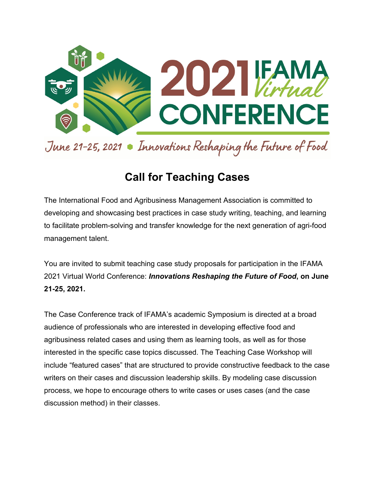

# **Call for Teaching Cases**

The International Food and Agribusiness Management Association is committed to developing and showcasing best practices in case study writing, teaching, and learning to facilitate problem-solving and transfer knowledge for the next generation of agri-food management talent.

You are invited to submit teaching case study proposals for participation in the IFAMA 2021 Virtual World Conference: *Innovations Reshaping the Future of Food***, on June 21-25, 2021.**

The Case Conference track of IFAMA's academic Symposium is directed at a broad audience of professionals who are interested in developing effective food and agribusiness related cases and using them as learning tools, as well as for those interested in the specific case topics discussed. The Teaching Case Workshop will include "featured cases" that are structured to provide constructive feedback to the case writers on their cases and discussion leadership skills. By modeling case discussion process, we hope to encourage others to write cases or uses cases (and the case discussion method) in their classes.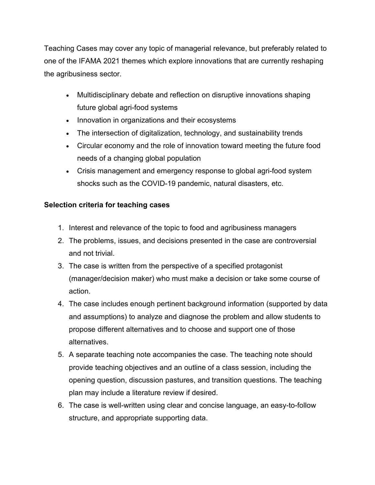Teaching Cases may cover any topic of managerial relevance, but preferably related to one of the IFAMA 2021 themes which explore innovations that are currently reshaping the agribusiness sector.

- Multidisciplinary debate and reflection on disruptive innovations shaping future global agri-food systems
- Innovation in organizations and their ecosystems
- The intersection of digitalization, technology, and sustainability trends
- Circular economy and the role of innovation toward meeting the future food needs of a changing global population
- Crisis management and emergency response to global agri-food system shocks such as the COVID-19 pandemic, natural disasters, etc.

#### **Selection criteria for teaching cases**

- 1. Interest and relevance of the topic to food and agribusiness managers
- 2. The problems, issues, and decisions presented in the case are controversial and not trivial.
- 3. The case is written from the perspective of a specified protagonist (manager/decision maker) who must make a decision or take some course of action.
- 4. The case includes enough pertinent background information (supported by data and assumptions) to analyze and diagnose the problem and allow students to propose different alternatives and to choose and support one of those alternatives.
- 5. A separate teaching note accompanies the case. The teaching note should provide teaching objectives and an outline of a class session, including the opening question, discussion pastures, and transition questions. The teaching plan may include a literature review if desired.
- 6. The case is well-written using clear and concise language, an easy-to-follow structure, and appropriate supporting data.